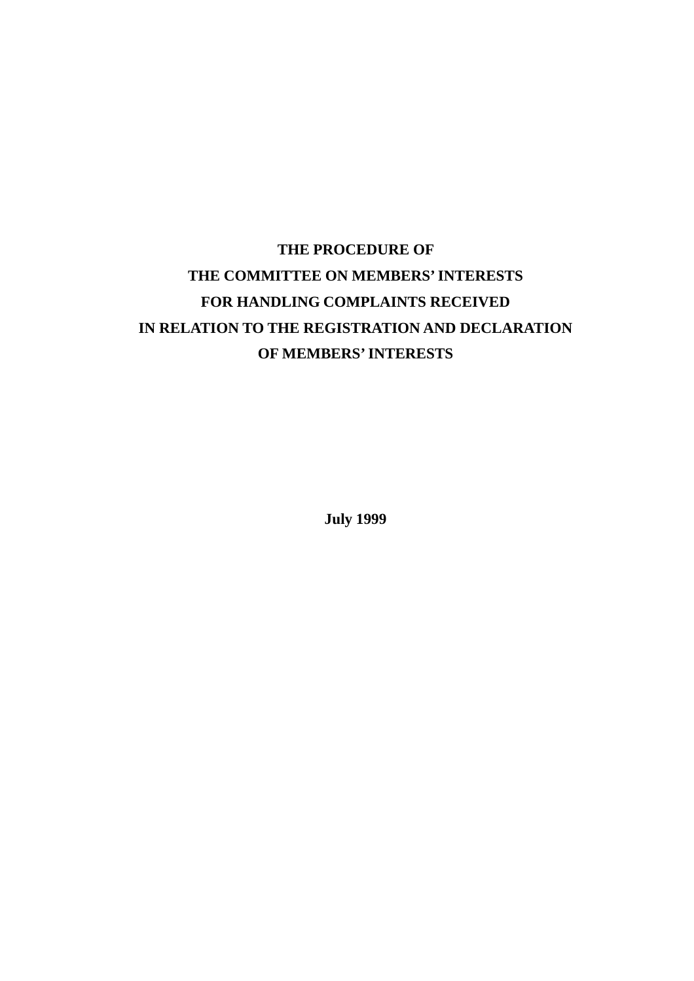# **THE PROCEDURE OF THE COMMITTEE ON MEMBERS' INTERESTS FOR HANDLING COMPLAINTS RECEIVED IN RELATION TO THE REGISTRATION AND DECLARATION OF MEMBERS' INTERESTS**

**July 1999**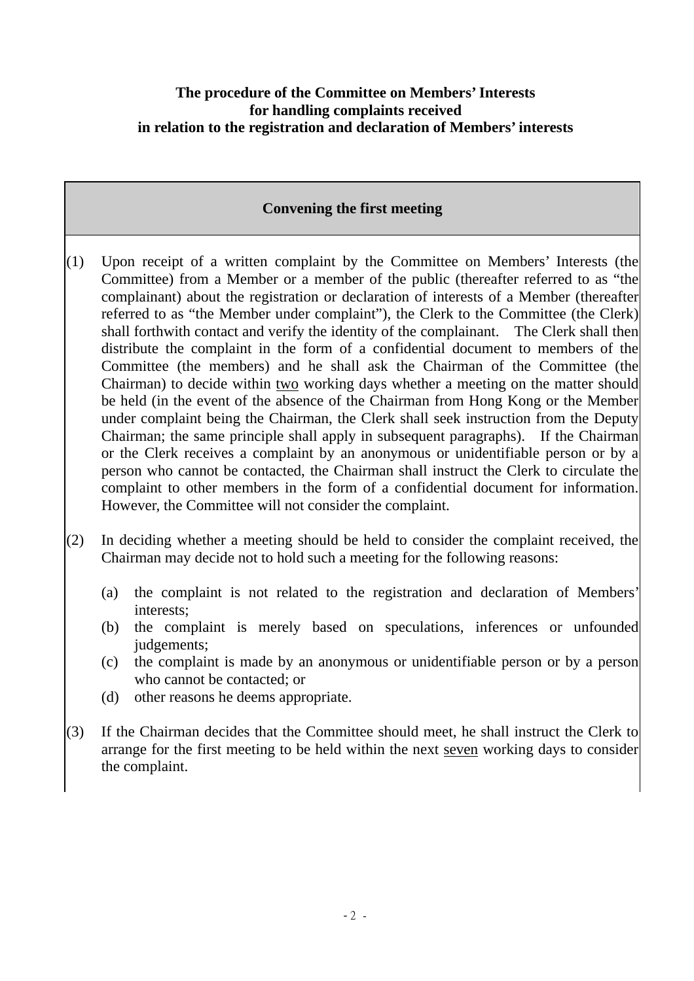## **The procedure of the Committee on Members' Interests for handling complaints received in relation to the registration and declaration of Members' interests**

## **Convening the first meeting**

- (1) Upon receipt of a written complaint by the Committee on Members' Interests (the Committee) from a Member or a member of the public (thereafter referred to as "the complainant) about the registration or declaration of interests of a Member (thereafter referred to as "the Member under complaint"), the Clerk to the Committee (the Clerk) shall forthwith contact and verify the identity of the complainant. The Clerk shall then distribute the complaint in the form of a confidential document to members of the Committee (the members) and he shall ask the Chairman of the Committee (the Chairman) to decide within two working days whether a meeting on the matter should be held (in the event of the absence of the Chairman from Hong Kong or the Member under complaint being the Chairman, the Clerk shall seek instruction from the Deputy Chairman; the same principle shall apply in subsequent paragraphs). If the Chairman or the Clerk receives a complaint by an anonymous or unidentifiable person or by a person who cannot be contacted, the Chairman shall instruct the Clerk to circulate the complaint to other members in the form of a confidential document for information. However, the Committee will not consider the complaint.
- (2) In deciding whether a meeting should be held to consider the complaint received, the Chairman may decide not to hold such a meeting for the following reasons:
	- (a) the complaint is not related to the registration and declaration of Members' interests;
	- (b) the complaint is merely based on speculations, inferences or unfounded judgements;
	- (c) the complaint is made by an anonymous or unidentifiable person or by a person who cannot be contacted; or
	- (d) other reasons he deems appropriate.
- (3) If the Chairman decides that the Committee should meet, he shall instruct the Clerk to arrange for the first meeting to be held within the next seven working days to consider the complaint.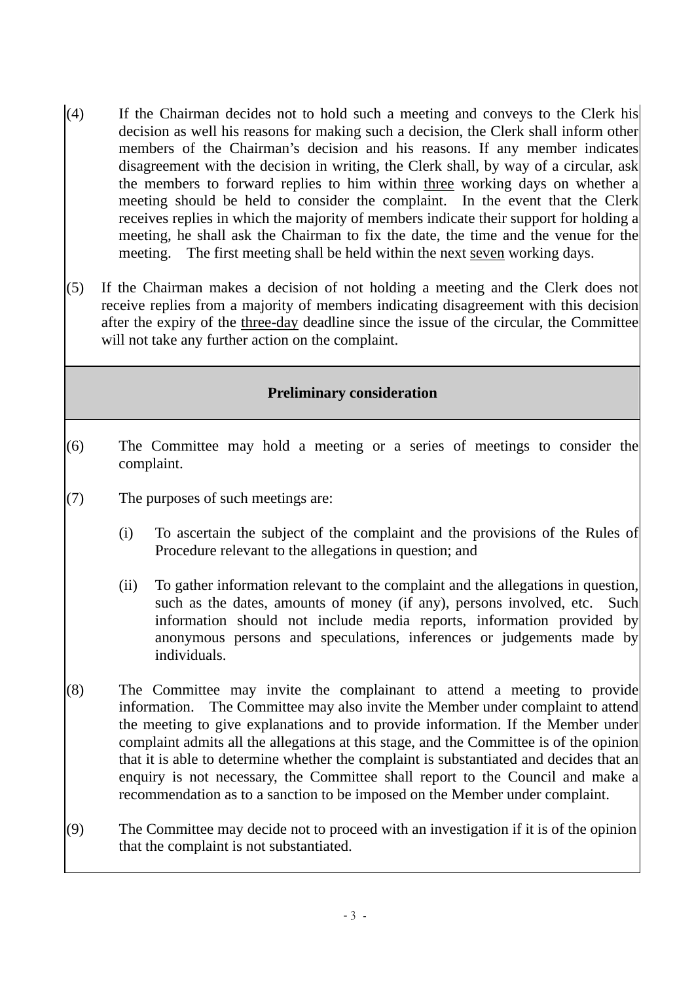- (4) If the Chairman decides not to hold such a meeting and conveys to the Clerk his decision as well his reasons for making such a decision, the Clerk shall inform other members of the Chairman's decision and his reasons. If any member indicates disagreement with the decision in writing, the Clerk shall, by way of a circular, ask the members to forward replies to him within three working days on whether a meeting should be held to consider the complaint. In the event that the Clerk receives replies in which the majority of members indicate their support for holding a meeting, he shall ask the Chairman to fix the date, the time and the venue for the meeting. The first meeting shall be held within the next seven working days.
- (5) If the Chairman makes a decision of not holding a meeting and the Clerk does not receive replies from a majority of members indicating disagreement with this decision after the expiry of the three-day deadline since the issue of the circular, the Committee will not take any further action on the complaint.

## **Preliminary consideration**

- (6) The Committee may hold a meeting or a series of meetings to consider the complaint.
- (7) The purposes of such meetings are:
	- (i) To ascertain the subject of the complaint and the provisions of the Rules of Procedure relevant to the allegations in question; and
	- (ii) To gather information relevant to the complaint and the allegations in question, such as the dates, amounts of money (if any), persons involved, etc. Such information should not include media reports, information provided by anonymous persons and speculations, inferences or judgements made by individuals.
- (8) The Committee may invite the complainant to attend a meeting to provide information. The Committee may also invite the Member under complaint to attend the meeting to give explanations and to provide information. If the Member under complaint admits all the allegations at this stage, and the Committee is of the opinion that it is able to determine whether the complaint is substantiated and decides that an enquiry is not necessary, the Committee shall report to the Council and make a recommendation as to a sanction to be imposed on the Member under complaint.
- (9) The Committee may decide not to proceed with an investigation if it is of the opinion that the complaint is not substantiated.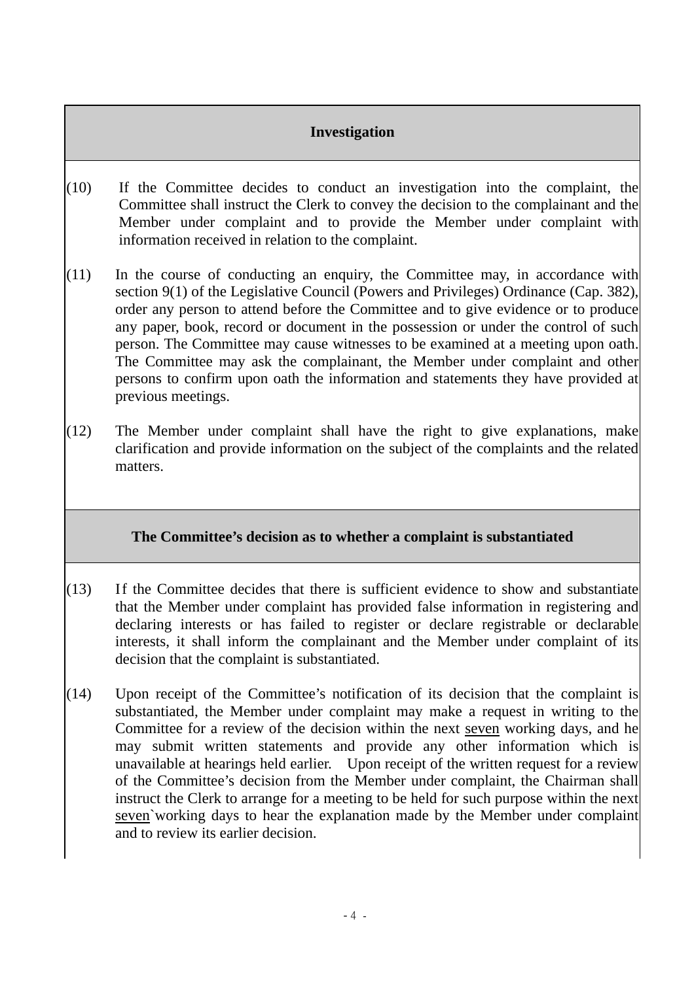## **Investigation**

- (10) If the Committee decides to conduct an investigation into the complaint, the Committee shall instruct the Clerk to convey the decision to the complainant and the Member under complaint and to provide the Member under complaint with information received in relation to the complaint.
- (11) In the course of conducting an enquiry, the Committee may, in accordance with section 9(1) of the Legislative Council (Powers and Privileges) Ordinance (Cap. 382), order any person to attend before the Committee and to give evidence or to produce any paper, book, record or document in the possession or under the control of such person. The Committee may cause witnesses to be examined at a meeting upon oath. The Committee may ask the complainant, the Member under complaint and other persons to confirm upon oath the information and statements they have provided at previous meetings.
- (12) The Member under complaint shall have the right to give explanations, make clarification and provide information on the subject of the complaints and the related matters.

## **The Committee's decision as to whether a complaint is substantiated**

- (13) If the Committee decides that there is sufficient evidence to show and substantiate that the Member under complaint has provided false information in registering and declaring interests or has failed to register or declare registrable or declarable interests, it shall inform the complainant and the Member under complaint of its decision that the complaint is substantiated.
- (14) Upon receipt of the Committee's notification of its decision that the complaint is substantiated, the Member under complaint may make a request in writing to the Committee for a review of the decision within the next seven working days, and he may submit written statements and provide any other information which is unavailable at hearings held earlier. Upon receipt of the written request for a review of the Committee's decision from the Member under complaint, the Chairman shall instruct the Clerk to arrange for a meeting to be held for such purpose within the next seven`working days to hear the explanation made by the Member under complaint and to review its earlier decision.